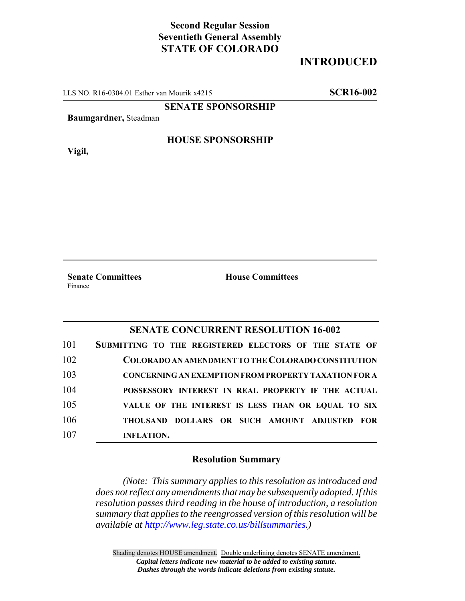# **Second Regular Session Seventieth General Assembly STATE OF COLORADO**

## **INTRODUCED**

LLS NO. R16-0304.01 Esther van Mourik x4215 **SCR16-002**

### **SENATE SPONSORSHIP**

**Baumgardner,** Steadman

**Vigil,**

#### **HOUSE SPONSORSHIP**

Finance

**Senate Committees House Committees** 

### **SENATE CONCURRENT RESOLUTION 16-002**

| 101 | SUBMITTING TO THE REGISTERED ELECTORS OF THE STATE OF       |
|-----|-------------------------------------------------------------|
| 102 | COLORADO AN AMENDMENT TO THE COLORADO CONSTITUTION          |
| 103 | <b>CONCERNING AN EXEMPTION FROM PROPERTY TAXATION FOR A</b> |
| 104 | POSSESSORY INTEREST IN REAL PROPERTY IF THE ACTUAL          |
| 105 | VALUE OF THE INTEREST IS LESS THAN OR EQUAL TO SIX          |
| 106 | THOUSAND DOLLARS OR SUCH AMOUNT ADJUSTED FOR                |
| 107 | <b>INFLATION.</b>                                           |

#### **Resolution Summary**

*(Note: This summary applies to this resolution as introduced and does not reflect any amendments that may be subsequently adopted. If this resolution passes third reading in the house of introduction, a resolution summary that applies to the reengrossed version of this resolution will be available at http://www.leg.state.co.us/billsummaries.)*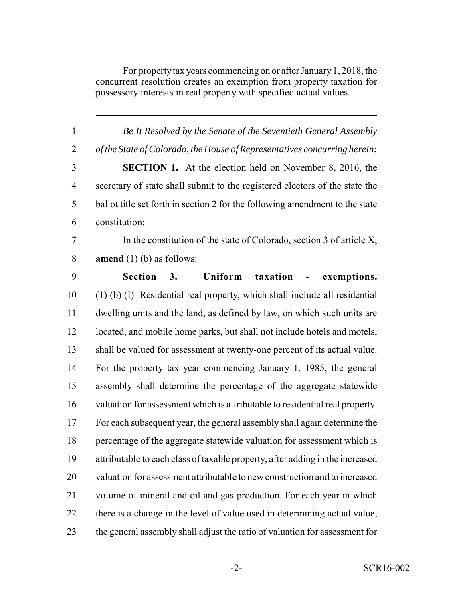For property tax years commencing on or after January 1, 2018, the concurrent resolution creates an exemption from property taxation for possessory interests in real property with specified actual values.

| $\mathbf{1}$   | Be It Resolved by the Senate of the Seventieth General Assembly               |
|----------------|-------------------------------------------------------------------------------|
| $\overline{2}$ | of the State of Colorado, the House of Representatives concurring herein:     |
| 3              | <b>SECTION 1.</b> At the election held on November 8, 2016, the               |
| $\overline{4}$ | secretary of state shall submit to the registered electors of the state the   |
| 5              | ballot title set forth in section 2 for the following amendment to the state  |
| 6              | constitution:                                                                 |
| $\overline{7}$ | In the constitution of the state of Colorado, section 3 of article $X$ ,      |
| $8\,$          | <b>amend</b> $(1)$ (b) as follows:                                            |
| 9              | Section 3.<br>Uniform<br>taxation<br>exemptions.<br>$\sim 100$ m $^{-1}$      |
| 10             | (1) (b) (I) Residential real property, which shall include all residential    |
| 11             | dwelling units and the land, as defined by law, on which such units are       |
| 12             | located, and mobile home parks, but shall not include hotels and motels,      |
| 13             | shall be valued for assessment at twenty-one percent of its actual value.     |
| 14             | For the property tax year commencing January 1, 1985, the general             |
| 15             | assembly shall determine the percentage of the aggregate statewide            |
| 16             | valuation for assessment which is attributable to residential real property.  |
| 17             | For each subsequent year, the general assembly shall again determine the      |
| 18             | percentage of the aggregate statewide valuation for assessment which is       |
| 19             | attributable to each class of taxable property, after adding in the increased |
| 20             | valuation for assessment attributable to new construction and to increased    |
| 21             | volume of mineral and oil and gas production. For each year in which          |
| 22             | there is a change in the level of value used in determining actual value,     |
| 23             | the general assembly shall adjust the ratio of valuation for assessment for   |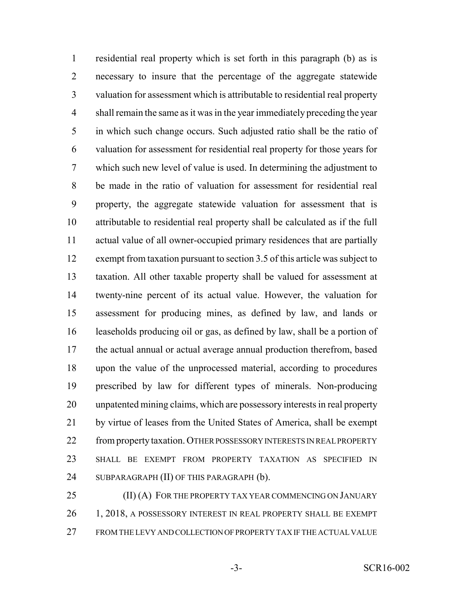residential real property which is set forth in this paragraph (b) as is necessary to insure that the percentage of the aggregate statewide valuation for assessment which is attributable to residential real property shall remain the same as it was in the year immediately preceding the year in which such change occurs. Such adjusted ratio shall be the ratio of valuation for assessment for residential real property for those years for which such new level of value is used. In determining the adjustment to be made in the ratio of valuation for assessment for residential real property, the aggregate statewide valuation for assessment that is attributable to residential real property shall be calculated as if the full actual value of all owner-occupied primary residences that are partially exempt from taxation pursuant to section 3.5 of this article was subject to taxation. All other taxable property shall be valued for assessment at twenty-nine percent of its actual value. However, the valuation for assessment for producing mines, as defined by law, and lands or leaseholds producing oil or gas, as defined by law, shall be a portion of the actual annual or actual average annual production therefrom, based upon the value of the unprocessed material, according to procedures prescribed by law for different types of minerals. Non-producing unpatented mining claims, which are possessory interests in real property by virtue of leases from the United States of America, shall be exempt 22 from property taxation. OTHER POSSESSORY INTERESTS IN REAL PROPERTY SHALL BE EXEMPT FROM PROPERTY TAXATION AS SPECIFIED IN 24 SUBPARAGRAPH (II) OF THIS PARAGRAPH (b).

25 (II) (A) FOR THE PROPERTY TAX YEAR COMMENCING ON JANUARY 26 1, 2018, A POSSESSORY INTEREST IN REAL PROPERTY SHALL BE EXEMPT FROM THE LEVY AND COLLECTION OF PROPERTY TAX IF THE ACTUAL VALUE